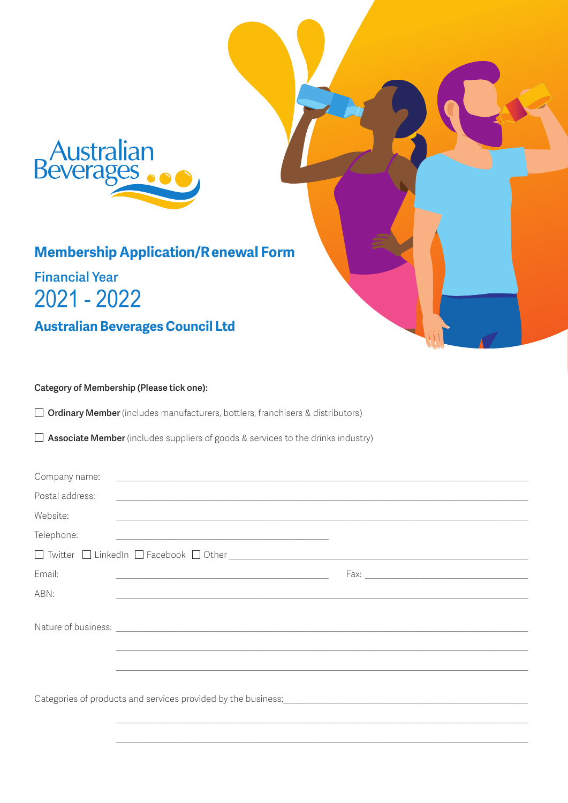

# **Membership Application/Renewal Form**

# **Financial Year**  $2021 - 2022$

**Australian Beverages Council Ltd** 

## Category of Membership (Please tick one):

Ordinary Member (includes manufacturers, bottlers, franchisers & distributors)

 $\Box$  Associate Member (includes suppliers of goods & services to the drinks industry)

| Company name:   | <u> Andreas Andreas Andreas Andreas Andreas Andreas Andreas Andreas Andreas Andreas Andreas Andreas Andreas Andr</u>                                                                                                                 |  |
|-----------------|--------------------------------------------------------------------------------------------------------------------------------------------------------------------------------------------------------------------------------------|--|
| Postal address: |                                                                                                                                                                                                                                      |  |
| Website:        | <u>and the contract of the contract of the contract of the contract of the contract of the contract of the contract of the contract of the contract of the contract of the contract of the contract of the contract of the contr</u> |  |
| Telephone:      | <u> 1989 - Johann Stein, mars and de Brazilian (b. 1989)</u>                                                                                                                                                                         |  |
|                 |                                                                                                                                                                                                                                      |  |
| Email:          | <u> Alexandria de la contrada de la contrada de la contrada de la contrada de la contrada de la contrada de la c</u>                                                                                                                 |  |
| ABN:            | <u> 1989 - Johann Stoff, deutscher Stoff, der Stoff, der Stoff, der Stoff, der Stoff, der Stoff, der Stoff, der S</u>                                                                                                                |  |
|                 |                                                                                                                                                                                                                                      |  |
|                 | Nature of business: <u>example and contract and contract and contract and contract and contract and contract and contract and contract and contract and contract and contract and contract and contract and contract and contrac</u> |  |
|                 |                                                                                                                                                                                                                                      |  |
|                 |                                                                                                                                                                                                                                      |  |
|                 | Categories of products and services provided by the business: [1983] [1983] [1983] [1983] [1983] [1983] [1983] [1983] [1983] [1983] [1983] [1983] [1983] [1983] [1983] [1983] [1983] [1983] [1983] [1983] [1983] [1983] [1983]       |  |
|                 |                                                                                                                                                                                                                                      |  |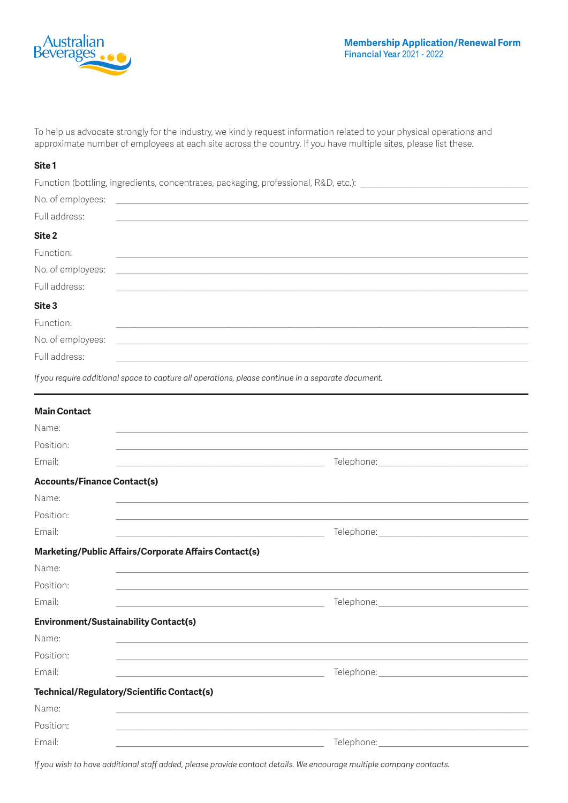

To help us advocate strongly for the industry, we kindly request information related to your physical operations and approximate number of employees at each site across the country. If you have multiple sites, please list these

#### Site 1

Function (bottling, ingredients, concentrates, packaging, professional, R&D, etc.): \_\_

| No. of employees: | <u> 1989 - Jan Sterlinger, fransk politiker (d. 1989)</u>                                                            |
|-------------------|----------------------------------------------------------------------------------------------------------------------|
| Full address:     | <u> 1989 - Jan Samuel Barbara, margaret eta idazlea (h. 1982).</u>                                                   |
| Site 2            |                                                                                                                      |
| Function:         |                                                                                                                      |
| No. of employees: | <u> 1989 - Andrea State Barbara, amerikan personal di sebagai personal di sebagai personal di sebagai personal d</u> |
| Full address:     |                                                                                                                      |
| Site 3            |                                                                                                                      |
| Function:         |                                                                                                                      |
| No. of employees: |                                                                                                                      |
| Full address:     |                                                                                                                      |
|                   |                                                                                                                      |

If you require additional space to capture all operations, please continue in a separate document.

| <b>Main Contact</b>                                           |                                                                                                                |  |
|---------------------------------------------------------------|----------------------------------------------------------------------------------------------------------------|--|
| Name:                                                         |                                                                                                                |  |
| Position:                                                     |                                                                                                                |  |
| Email:                                                        |                                                                                                                |  |
| <b>Accounts/Finance Contact(s)</b>                            |                                                                                                                |  |
| Name:                                                         |                                                                                                                |  |
| Position:                                                     |                                                                                                                |  |
| Email:<br><u> 1989 - Johann Barbara, martxa alemaniar arg</u> |                                                                                                                |  |
| Marketing/Public Affairs/Corporate Affairs Contact(s)         |                                                                                                                |  |
| Name:                                                         |                                                                                                                |  |
| Position:                                                     |                                                                                                                |  |
| Email:                                                        |                                                                                                                |  |
| <b>Environment/Sustainability Contact(s)</b>                  |                                                                                                                |  |
| Name:                                                         |                                                                                                                |  |
| Position:                                                     |                                                                                                                |  |
| Email:                                                        |                                                                                                                |  |
| Technical/Regulatory/Scientific Contact(s)                    |                                                                                                                |  |
| Name:                                                         |                                                                                                                |  |
| Position:                                                     |                                                                                                                |  |
| Email:                                                        | Telephone: The contract of the contract of the contract of the contract of the contract of the contract of the |  |

If you wish to have additional staff added, please provide contact details. We encourage multiple company contacts.